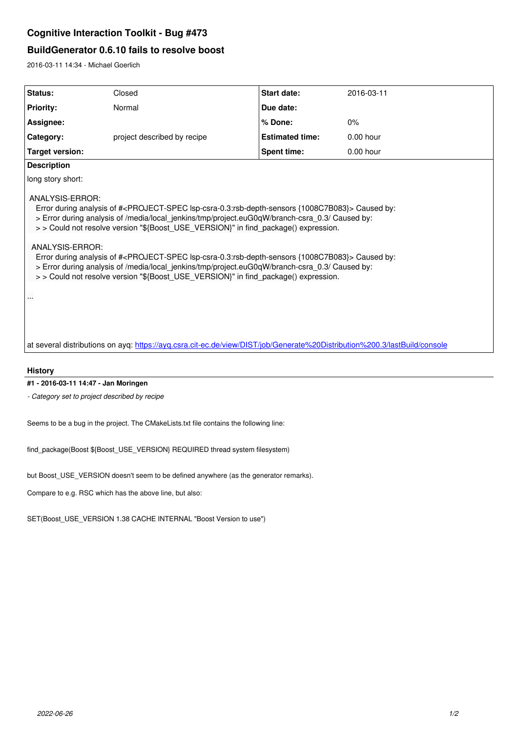# **Cognitive Interaction Toolkit - Bug #473**

## **BuildGenerator 0.6.10 fails to resolve boost**

2016-03-11 14:34 - Michael Goerlich

| Status:            | Closed                      | <b>Start date:</b>     | 2016-03-11 |
|--------------------|-----------------------------|------------------------|------------|
| <b>Priority:</b>   | Normal                      | Due date:              |            |
| Assignee:          |                             | l% Done:               | $0\%$      |
| Category:          | project described by recipe | <b>Estimated time:</b> | 0.00 hour  |
| Target version:    |                             | <b>Spent time:</b>     | 0.00 hour  |
| <b>Description</b> |                             |                        |            |

long story short:

ANALYSIS-ERROR:

 Error during analysis of #<PROJECT-SPEC lsp-csra-0.3:rsb-depth-sensors {1008C7B083}> Caused by: > Error during analysis of /media/local\_jenkins/tmp/project.euG0qW/branch-csra\_0.3/ Caused by:

> > Could not resolve version "\${Boost\_USE\_VERSION}" in find\_package() expression.

### ANALYSIS-ERROR:

 Error during analysis of #<PROJECT-SPEC lsp-csra-0.3:rsb-depth-sensors {1008C7B083}> Caused by: > Error during analysis of /media/local\_jenkins/tmp/project.euG0qW/branch-csra\_0.3/ Caused by: > > Could not resolve version "\${Boost\_USE\_VERSION}" in find\_package() expression.

...

at several distributions on ayq: https://ayq.csra.cit-ec.de/view/DIST/job/Generate%20Distribution%200.3/lastBuild/console

**History**

**#1 - 2016-03-11 14:47 - Jan Moringen**

*- Category set to project described by recipe*

Seems to be a bug in the project. The CMakeLists.txt file contains the following line:

find\_package(Boost \${Boost\_USE\_VERSION} REQUIRED thread system filesystem)

but Boost\_USE\_VERSION doesn't seem to be defined anywhere (as the generator remarks).

Compare to e.g. RSC which has the above line, but also:

SET(Boost\_USE\_VERSION 1.38 CACHE INTERNAL "Boost Version to use")